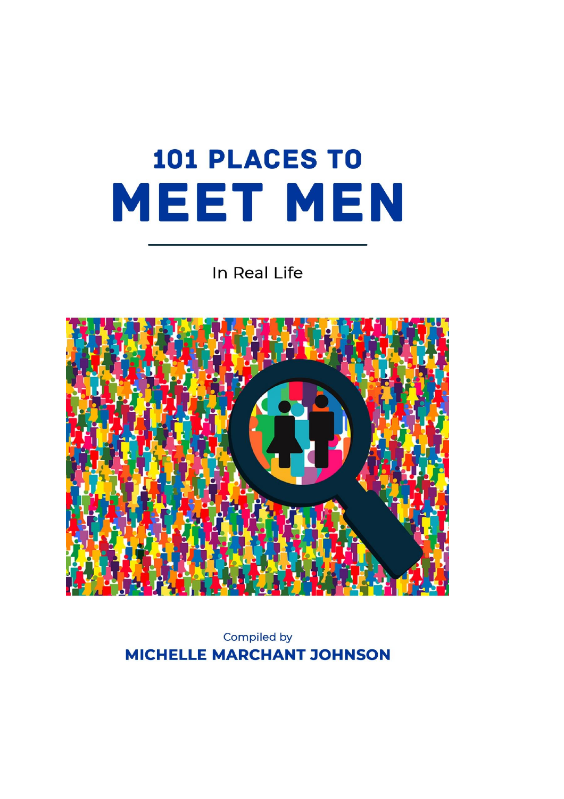## 101 PLACES TO MEET MEN

## In Real Life



Compiled by **MICHELLE MARCHANT JOHNSON**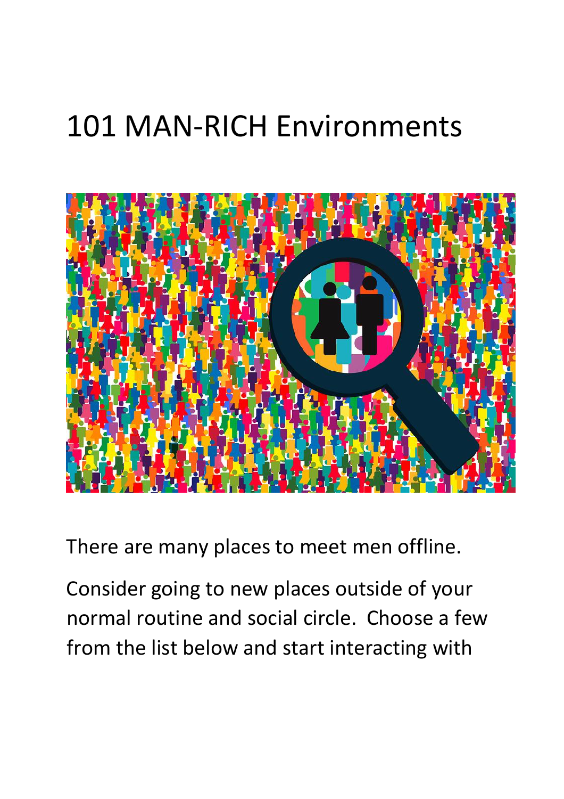## 101 MAN-RICH Environments



There are many places to meet men offline.

Consider going to new places outside of your normal routine and social circle. Choose a few from the list below and start interacting with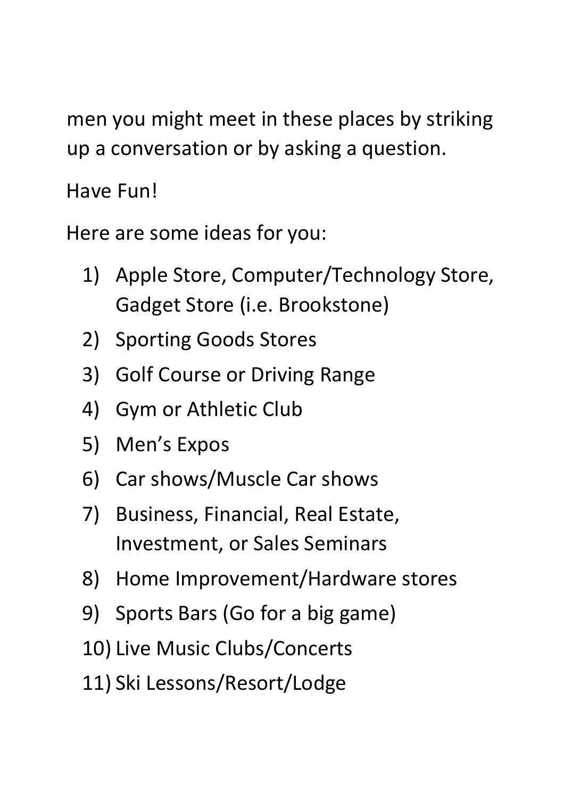men you might meet in these places by striking up a conversation or by asking a question.

Have Fun!

Here are some ideas for you:

- 1) Apple Store, Computer/Technology Store, Gadget Store (i.e. Brookstone)
- 2) Sporting Goods Stores
- 3) Golf Course or Driving Range
- 4) Gym or Athletic Club
- 5) Men's Expos
- 6) Car shows/Muscle Car shows
- 7) Business, Financial, Real Estate, Investment, or Sales Seminars
- 8) Home Improvement/Hardware stores
- 9) Sports Bars (Go for a big game)
- 10) Live Music Clubs/Concerts
- 11) Ski Lessons/Resort/Lodge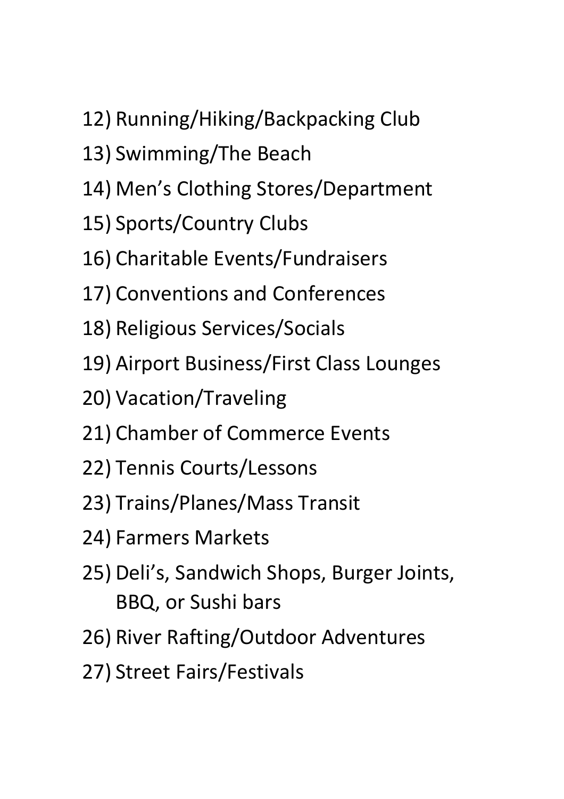- 12) Running/Hiking/Backpacking Club
- 13) Swimming/The Beach
- 14) Men's Clothing Stores/Department
- 15) Sports/Country Clubs
- 16) Charitable Events/Fundraisers
- 17) Conventions and Conferences
- 18) Religious Services/Socials
- 19) Airport Business/First Class Lounges
- 20) Vacation/Traveling
- 21) Chamber of Commerce Events
- 22) Tennis Courts/Lessons
- 23) Trains/Planes/Mass Transit
- 24) Farmers Markets
- 25) Deli's, Sandwich Shops, Burger Joints, BBQ, or Sushi bars
- 26) River Rafting/Outdoor Adventures
- 27) Street Fairs/Festivals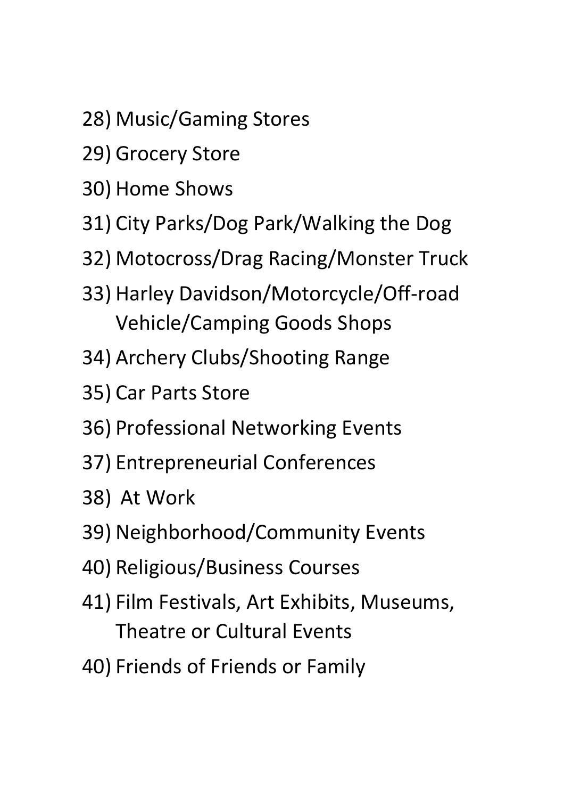- 28) Music/Gaming Stores
- 29) Grocery Store
- 30) Home Shows
- 31) City Parks/Dog Park/Walking the Dog
- 32) Motocross/Drag Racing/Monster Truck
- 33) Harley Davidson/Motorcycle/Off-road Vehicle/Camping Goods Shops
- 34) Archery Clubs/Shooting Range
- 35) Car Parts Store
- 36) Professional Networking Events
- 37) Entrepreneurial Conferences
- 38) At Work
- 39) Neighborhood/Community Events
- 40) Religious/Business Courses
- 41) Film Festivals, Art Exhibits, Museums, Theatre or Cultural Events
- 40) Friends of Friends or Family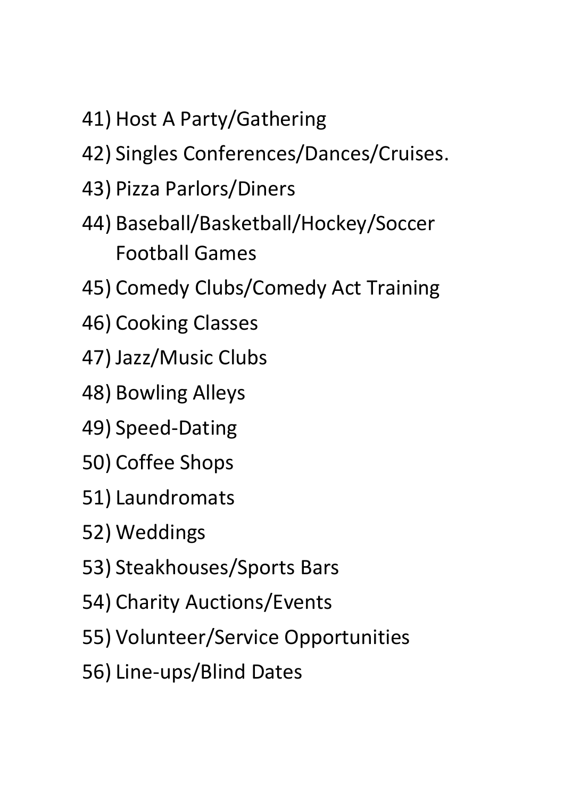- 41) Host A Party/Gathering
- 42) Singles Conferences/Dances/Cruises.
- 43) Pizza Parlors/Diners
- 44) Baseball/Basketball/Hockey/Soccer Football Games
- 45) Comedy Clubs/Comedy Act Training
- 46) Cooking Classes
- 47) Jazz/Music Clubs
- 48) Bowling Alleys
- 49) Speed-Dating
- 50) Coffee Shops
- 51) Laundromats
- 52) Weddings
- 53) Steakhouses/Sports Bars
- 54) Charity Auctions/Events
- 55) Volunteer/Service Opportunities
- 56) Line-ups/Blind Dates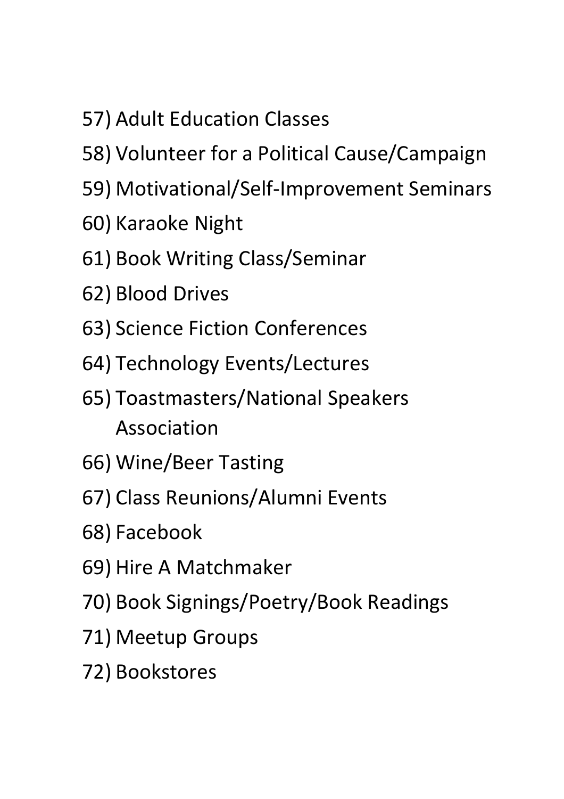- 57) Adult Education Classes
- 58) Volunteer for a Political Cause/Campaign
- 59) Motivational/Self-Improvement Seminars
- 60) Karaoke Night
- 61) Book Writing Class/Seminar
- 62) Blood Drives
- 63) Science Fiction Conferences
- 64) Technology Events/Lectures
- 65) Toastmasters/National Speakers Association
- 66) Wine/Beer Tasting
- 67) Class Reunions/Alumni Events
- 68) Facebook
- 69) Hire A Matchmaker
- 70) Book Signings/Poetry/Book Readings
- 71) Meetup Groups
- 72) Bookstores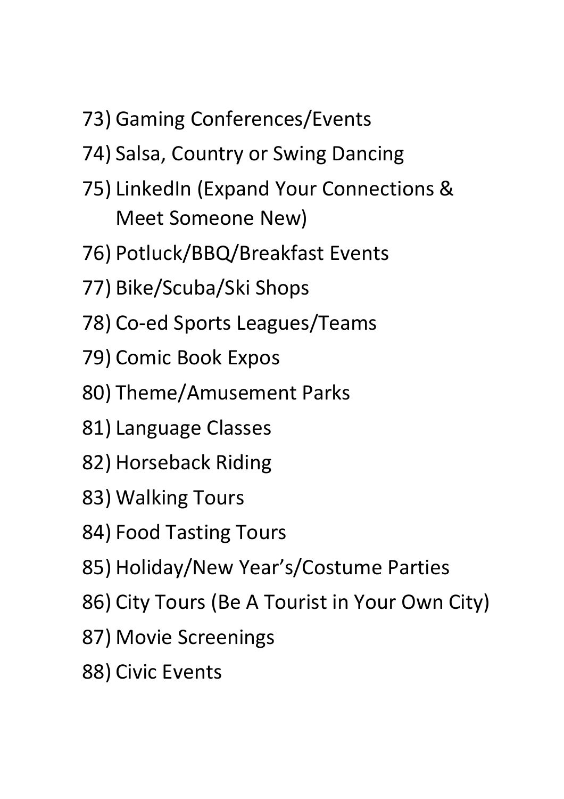- 73) Gaming Conferences/Events
- 74) Salsa, Country or Swing Dancing
- 75) LinkedIn (Expand Your Connections & Meet Someone New)
- 76) Potluck/BBQ/Breakfast Events
- 77) Bike/Scuba/Ski Shops
- 78) Co-ed Sports Leagues/Teams
- 79) Comic Book Expos
- 80) Theme/Amusement Parks
- 81) Language Classes
- 82) Horseback Riding
- 83) Walking Tours
- 84) Food Tasting Tours
- 85) Holiday/New Year's/Costume Parties
- 86) City Tours (Be A Tourist in Your Own City)
- 87) Movie Screenings
- 88) Civic Events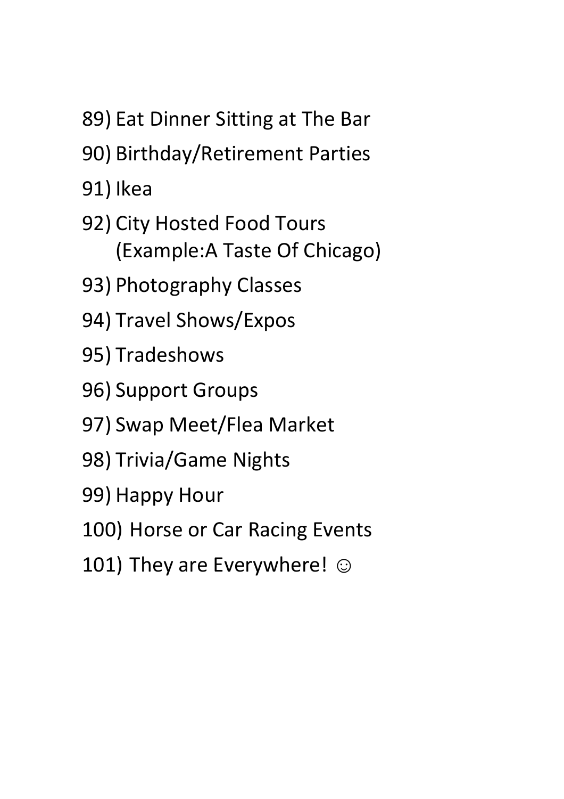- 89) Eat Dinner Sitting at The Bar
- 90) Birthday/Retirement Parties
- 91) Ikea
- 92) City Hosted F[ood Tours](https://itsjustlunch.com/)  (Example:A Taste Of Chicago)
- 93) Photography Classes
- 94) Travel Shows/Expos
- 95) Tradeshows
- 96) Support Groups
- 97) Swap Meet/Flea Market
- 98) Trivia/Game Nights
- 99) Happy Hour
- 100) Horse or Car Racing Events
- 101) They are Everywhere!  $\odot$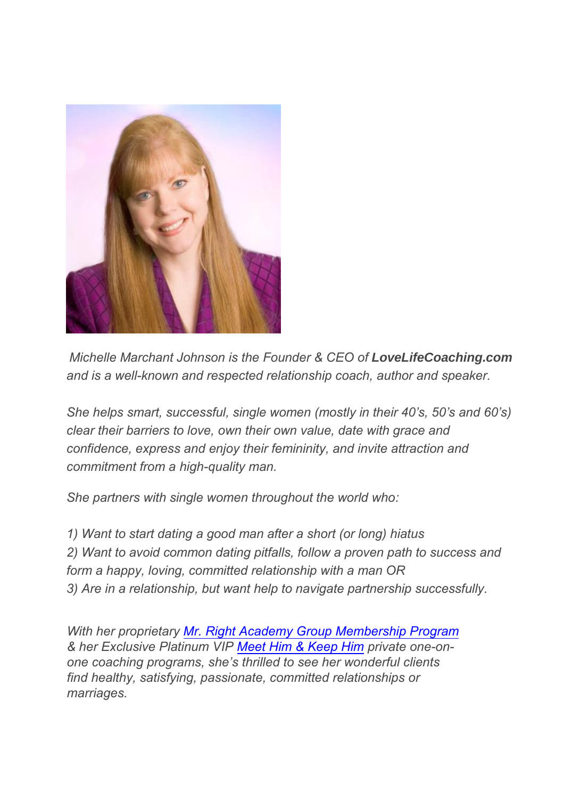

*Michelle Marchant Johnson is the Founder & CEO of LoveLifeCoaching.com and is a well-known and respected relationship coach, author and speaker.* 

*She helps smart, successful, single women (mostly in their 40's, 50's and 60's) clear their barriers to love, own their own value, date with grace and confidence, express and enjoy their femininity, and invite attraction and commitment from a high-quality man.* 

*She partners with single women throughout the world who:*

*1) Want to start dating a good man after a short (or long) hiatus 2) Want to avoid common dating pitfalls, follow a proven path to success and form a happy, loving, committed relationship with a man OR 3) Are in a relationship, but want help to navigate partnership successfully.*

*With her proprietary [Mr. Right Academy Group Membership Program](https://mrrightacademy.com/join/) & her Exclusive Platinum VIP [Meet Him & Keep Him](https://readyfortherightguy.com/coachingprogram/) private one-onone coaching programs, she's thrilled to see her wonderful clients find healthy, satisfying, passionate, committed relationships or marriages.*